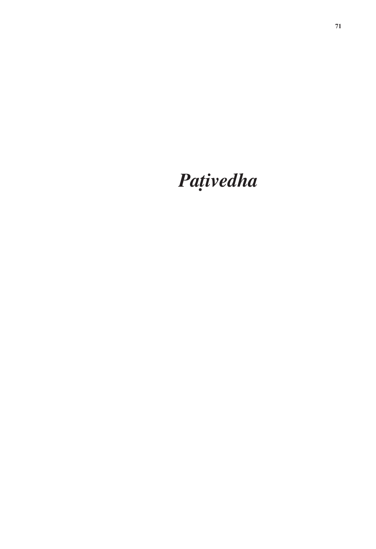# *Pañivedha*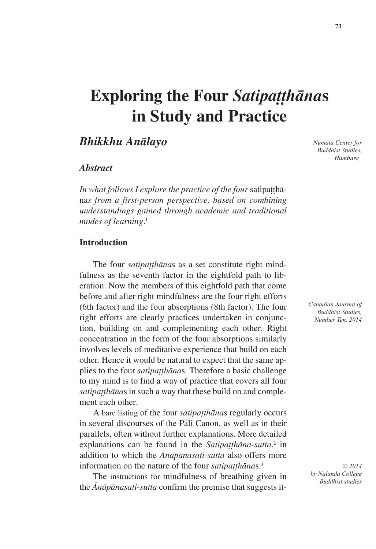# **Exploring the Four** *Satipatthanas* **in Study and Practice**

## *Bhikkhu Anàlayo*

#### *Abstract*

*In what follows I explore the practice of the four satipattha*na*s from a first-person perspective, based on combining understandings gained through academic and traditional modes of learning*. 1

#### **Introduction**

The four *satipatthānas* as a set constitute right mindfulness as the seventh factor in the eightfold path to liberation. Now the members of this eightfold path that come before and after right mindfulness are the four right efforts (6th factor) and the four absorptions (8th factor). The four right efforts are clearly practices undertaken in conjunction, building on and complementing each other. Right concentration in the form of the four absorptions similarly involves levels of meditative experience that build on each other. Hence it would be natural to expect that the same applies to the four *satipatthānas*. Therefore a basic challenge to my mind is to find a way of practice that covers all four satipatthānas in such a way that these build on and complement each other.

A bare listing of the four *satipatthanas* regularly occurs in several discourses of the Pàli Canon, as well as in their parallels, often without further explanations. More detailed explanations can be found in the *Satipatthana-sutta*,<sup>2</sup> in addition to which the *ânàpànasati-sutta* also offers more information on the nature of the four *satipatthanas*.<sup>3</sup>

The instructions for mindfulness of breathing given in the *ânàpànasati-sutta* confirm the premise that suggests it-

*Numata Center for Buddhist Studies, Hamburg*

*Canadian Journal of Buddhist Studies, Number Ten, 2014*

*© 2014 by Nalanda College Buddhist studies*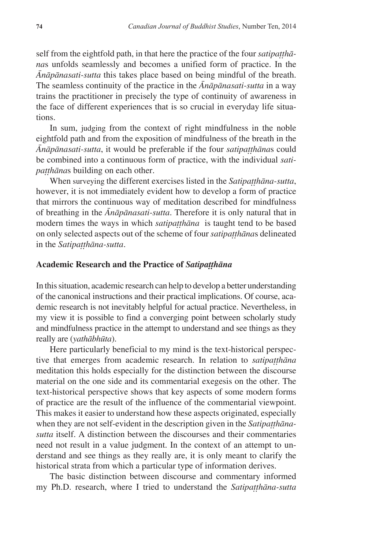self from the eightfold path, in that here the practice of the four *satipatthana*s unfolds seamlessly and becomes a unified form of practice. In the *ânàpànasati-sutta* this takes place based on being mindful of the breath. The seamless continuity of the practice in the *ânàpànasati-sutta* in a way trains the practitioner in precisely the type of continuity of awareness in the face of different experiences that is so crucial in everyday life situations.

In sum, judging from the context of right mindfulness in the noble eightfold path and from the exposition of mindfulness of the breath in the  $\overline{A}n\overline{a}p\overline{a}nasati-sutta,$  it would be preferable if the four *satipatthanas* could be combined into a continuous form of practice, with the individual *satipatthānas* building on each other.

When surveying the different exercises listed in the *Satipatthāna-sutta*, however, it is not immediately evident how to develop a form of practice that mirrors the continuous way of meditation described for mindfulness of breathing in the *ânàpànasati-sutta*. Therefore it is only natural that in modern times the ways in which *satipatthana* is taught tend to be based on only selected aspects out of the scheme of four *satipatthanas* delineated in the *Satipatthana-sutta*.

#### **Academic Research and the Practice of** *Satipaññhàna*

In this situation, academic research can help to develop a better understanding of the canonical instructions and their practical implications. Of course, academic research is not inevitably helpful for actual practice. Nevertheless, in my view it is possible to find a converging point between scholarly study and mindfulness practice in the attempt to understand and see things as they really are (*yathàbhåta*).

Here particularly beneficial to my mind is the text-historical perspective that emerges from academic research. In relation to *satipatthana* meditation this holds especially for the distinction between the discourse material on the one side and its commentarial exegesis on the other. The text-historical perspective shows that key aspects of some modern forms of practice are the result of the influence of the commentarial viewpoint. This makes it easier to understand how these aspects originated, especially when they are not self-evident in the description given in the *Satipatthanasutta* itself. A distinction between the discourses and their commentaries need not result in a value judgment. In the context of an attempt to understand and see things as they really are, it is only meant to clarify the historical strata from which a particular type of information derives.

The basic distinction between discourse and commentary informed my Ph.D. research, where I tried to understand the *Satipatthana-sutta*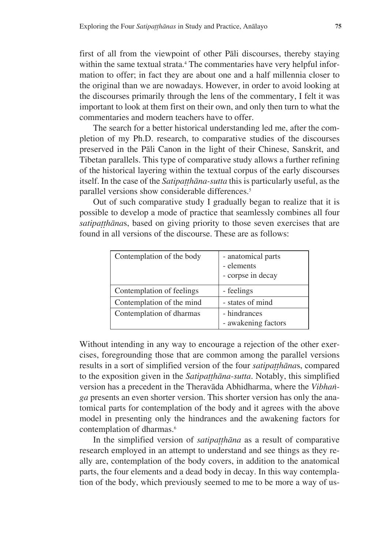first of all from the viewpoint of other Pàli discourses, thereby staying within the same textual strata.<sup>4</sup> The commentaries have very helpful information to offer; in fact they are about one and a half millennia closer to the original than we are nowadays. However, in order to avoid looking at the discourses primarily through the lens of the commentary, I felt it was important to look at them first on their own, and only then turn to what the commentaries and modern teachers have to offer.

The search for a better historical understanding led me, after the completion of my Ph.D. research, to comparative studies of the discourses preserved in the Pàli Canon in the light of their Chinese, Sanskrit, and Tibetan parallels. This type of comparative study allows a further refining of the historical layering within the textual corpus of the early discourses itself. In the case of the *Satipatthana-sutta* this is particularly useful, as the parallel versions show considerable differences.<sup>5</sup>

Out of such comparative study I gradually began to realize that it is possible to develop a mode of practice that seamlessly combines all four *satipatthānas*, based on giving priority to those seven exercises that are found in all versions of the discourse. These are as follows:

| Contemplation of the body | - anatomical parts<br>- elements<br>- corpse in decay |
|---------------------------|-------------------------------------------------------|
| Contemplation of feelings | - feelings                                            |
| Contemplation of the mind | - states of mind                                      |
| Contemplation of dharmas  | - hindrances<br>- awakening factors                   |

Without intending in any way to encourage a rejection of the other exercises, foregrounding those that are common among the parallel versions results in a sort of simplified version of the four *satipatthanas*, compared to the exposition given in the *Satipatthana-sutta*. Notably, this simplified version has a precedent in the Theravàda Abhidharma, where the *Vibhaïga* presents an even shorter version. This shorter version has only the anatomical parts for contemplation of the body and it agrees with the above model in presenting only the hindrances and the awakening factors for contemplation of dharmas.<sup>6</sup>

In the simplified version of *satipatthana* as a result of comparative research employed in an attempt to understand and see things as they really are, contemplation of the body covers, in addition to the anatomical parts, the four elements and a dead body in decay. In this way contemplation of the body, which previously seemed to me to be more a way of us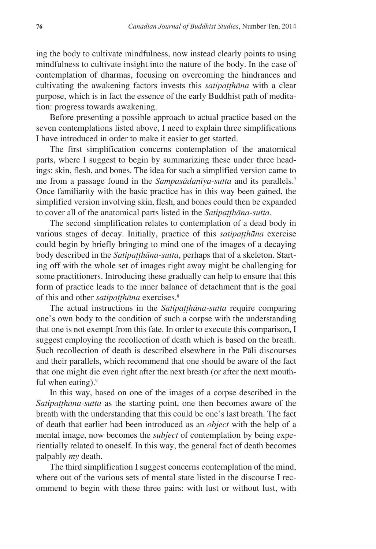ing the body to cultivate mindfulness, now instead clearly points to using mindfulness to cultivate insight into the nature of the body. In the case of contemplation of dharmas, focusing on overcoming the hindrances and cultivating the awakening factors invests this *satipatthana* with a clear purpose, which is in fact the essence of the early Buddhist path of meditation: progress towards awakening.

Before presenting a possible approach to actual practice based on the seven contemplations listed above, I need to explain three simplifications I have introduced in order to make it easier to get started.

The first simplification concerns contemplation of the anatomical parts, where I suggest to begin by summarizing these under three headings: skin, flesh, and bones. The idea for such a simplified version came to me from a passage found in the *Sampasàdanãya-sutta* and its parallels.<sup>7</sup> Once familiarity with the basic practice has in this way been gained, the simplified version involving skin, flesh, and bones could then be expanded to cover all of the anatomical parts listed in the *Satipatthana-sutta*.

The second simplification relates to contemplation of a dead body in various stages of decay. Initially, practice of this *satipatthana* exercise could begin by briefly bringing to mind one of the images of a decaying body described in the *Satipatthāna-sutta*, perhaps that of a skeleton. Starting off with the whole set of images right away might be challenging for some practitioners. Introducing these gradually can help to ensure that this form of practice leads to the inner balance of detachment that is the goal of this and other *satipatthāna* exercises.<sup>8</sup>

The actual instructions in the *Satipatthana-sutta* require comparing one's own body to the condition of such a corpse with the understanding that one is not exempt from this fate. In order to execute this comparison, I suggest employing the recollection of death which is based on the breath. Such recollection of death is described elsewhere in the Pàli discourses and their parallels, which recommend that one should be aware of the fact that one might die even right after the next breath (or after the next mouthful when eating). $9$ 

In this way, based on one of the images of a corpse described in the *Satipatthāna-sutta* as the starting point, one then becomes aware of the breath with the understanding that this could be one's last breath. The fact of death that earlier had been introduced as an *object* with the help of a mental image, now becomes the *subject* of contemplation by being experientially related to oneself. In this way, the general fact of death becomes palpably *my* death.

The third simplification I suggest concerns contemplation of the mind, where out of the various sets of mental state listed in the discourse I recommend to begin with these three pairs: with lust or without lust, with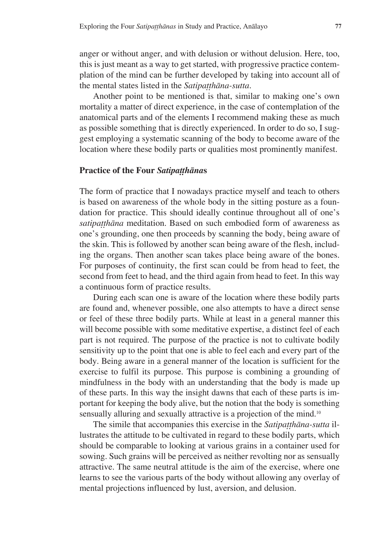anger or without anger, and with delusion or without delusion. Here, too, this is just meant as a way to get started, with progressive practice contemplation of the mind can be further developed by taking into account all of the mental states listed in the *Satipatthana-sutta*.

Another point to be mentioned is that, similar to making one's own mortality a matter of direct experience, in the case of contemplation of the anatomical parts and of the elements I recommend making these as much as possible something that is directly experienced. In order to do so, I suggest employing a systematic scanning of the body to become aware of the location where these bodily parts or qualities most prominently manifest.

#### **Practice of the Four** *Satipatthanas*

The form of practice that I nowadays practice myself and teach to others is based on awareness of the whole body in the sitting posture as a foundation for practice. This should ideally continue throughout all of one's satipatthāna meditation. Based on such embodied form of awareness as one's grounding, one then proceeds by scanning the body, being aware of the skin. This is followed by another scan being aware of the flesh, including the organs. Then another scan takes place being aware of the bones. For purposes of continuity, the first scan could be from head to feet, the second from feet to head, and the third again from head to feet. In this way a continuous form of practice results.

During each scan one is aware of the location where these bodily parts are found and, whenever possible, one also attempts to have a direct sense or feel of these three bodily parts. While at least in a general manner this will become possible with some meditative expertise, a distinct feel of each part is not required. The purpose of the practice is not to cultivate bodily sensitivity up to the point that one is able to feel each and every part of the body. Being aware in a general manner of the location is sufficient for the exercise to fulfil its purpose. This purpose is combining a grounding of mindfulness in the body with an understanding that the body is made up of these parts. In this way the insight dawns that each of these parts is important for keeping the body alive, but the notion that the body is something sensually alluring and sexually attractive is a projection of the mind.<sup>10</sup>

The simile that accompanies this exercise in the *Satipatthāna-sutta* illustrates the attitude to be cultivated in regard to these bodily parts, which should be comparable to looking at various grains in a container used for sowing. Such grains will be perceived as neither revolting nor as sensually attractive. The same neutral attitude is the aim of the exercise, where one learns to see the various parts of the body without allowing any overlay of mental projections influenced by lust, aversion, and delusion.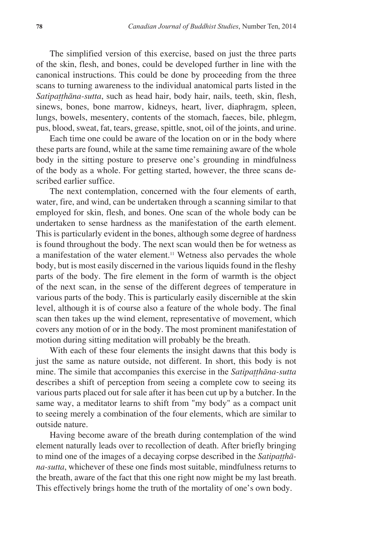The simplified version of this exercise, based on just the three parts of the skin, flesh, and bones, could be developed further in line with the canonical instructions. This could be done by proceeding from the three scans to turning awareness to the individual anatomical parts listed in the Satipatthāna-sutta, such as head hair, body hair, nails, teeth, skin, flesh, sinews, bones, bone marrow, kidneys, heart, liver, diaphragm, spleen, lungs, bowels, mesentery, contents of the stomach, faeces, bile, phlegm, pus, blood, sweat, fat, tears, grease, spittle, snot, oil of the joints, and urine.

Each time one could be aware of the location on or in the body where these parts are found, while at the same time remaining aware of the whole body in the sitting posture to preserve one's grounding in mindfulness of the body as a whole. For getting started, however, the three scans described earlier suffice.

The next contemplation, concerned with the four elements of earth, water, fire, and wind, can be undertaken through a scanning similar to that employed for skin, flesh, and bones. One scan of the whole body can be undertaken to sense hardness as the manifestation of the earth element. This is particularly evident in the bones, although some degree of hardness is found throughout the body. The next scan would then be for wetness as a manifestation of the water element.<sup>11</sup> Wetness also pervades the whole body, but is most easily discerned in the various liquids found in the fleshy parts of the body. The fire element in the form of warmth is the object of the next scan, in the sense of the different degrees of temperature in various parts of the body. This is particularly easily discernible at the skin level, although it is of course also a feature of the whole body. The final scan then takes up the wind element, representative of movement, which covers any motion of or in the body. The most prominent manifestation of motion during sitting meditation will probably be the breath.

With each of these four elements the insight dawns that this body is just the same as nature outside, not different. In short, this body is not mine. The simile that accompanies this exercise in the *Satipatthana-sutta* describes a shift of perception from seeing a complete cow to seeing its various parts placed out for sale after it has been cut up by a butcher. In the same way, a meditator learns to shift from "my body" as a compact unit to seeing merely a combination of the four elements, which are similar to outside nature.

Having become aware of the breath during contemplation of the wind element naturally leads over to recollection of death. After briefly bringing to mind one of the images of a decaying corpse described in the *Satipatthana-sutta*, whichever of these one finds most suitable, mindfulness returns to the breath, aware of the fact that this one right now might be my last breath. This effectively brings home the truth of the mortality of one's own body.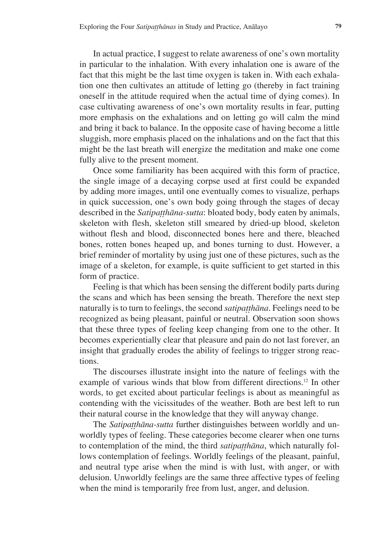In actual practice, I suggest to relate awareness of one's own mortality in particular to the inhalation. With every inhalation one is aware of the fact that this might be the last time oxygen is taken in. With each exhalation one then cultivates an attitude of letting go (thereby in fact training oneself in the attitude required when the actual time of dying comes). In case cultivating awareness of one's own mortality results in fear, putting more emphasis on the exhalations and on letting go will calm the mind and bring it back to balance. In the opposite case of having become a little sluggish, more emphasis placed on the inhalations and on the fact that this might be the last breath will energize the meditation and make one come fully alive to the present moment.

Once some familiarity has been acquired with this form of practice, the single image of a decaying corpse used at first could be expanded by adding more images, until one eventually comes to visualize, perhaps in quick succession, one's own body going through the stages of decay described in the *Satipatthāna-sutta*: bloated body, body eaten by animals, skeleton with flesh, skeleton still smeared by dried-up blood, skeleton without flesh and blood, disconnected bones here and there, bleached bones, rotten bones heaped up, and bones turning to dust. However, a brief reminder of mortality by using just one of these pictures, such as the image of a skeleton, for example, is quite sufficient to get started in this form of practice.

Feeling is that which has been sensing the different bodily parts during the scans and which has been sensing the breath. Therefore the next step naturally is to turn to feelings, the second *satipatthana*. Feelings need to be recognized as being pleasant, painful or neutral. Observation soon shows that these three types of feeling keep changing from one to the other. It becomes experientially clear that pleasure and pain do not last forever, an insight that gradually erodes the ability of feelings to trigger strong reactions.

The discourses illustrate insight into the nature of feelings with the example of various winds that blow from different directions.12 In other words, to get excited about particular feelings is about as meaningful as contending with the vicissitudes of the weather. Both are best left to run their natural course in the knowledge that they will anyway change.

The *Satipaṭthāna-sutta* further distinguishes between worldly and unworldly types of feeling. These categories become clearer when one turns to contemplation of the mind, the third *satipatthana*, which naturally follows contemplation of feelings. Worldly feelings of the pleasant, painful, and neutral type arise when the mind is with lust, with anger, or with delusion. Unworldly feelings are the same three affective types of feeling when the mind is temporarily free from lust, anger, and delusion.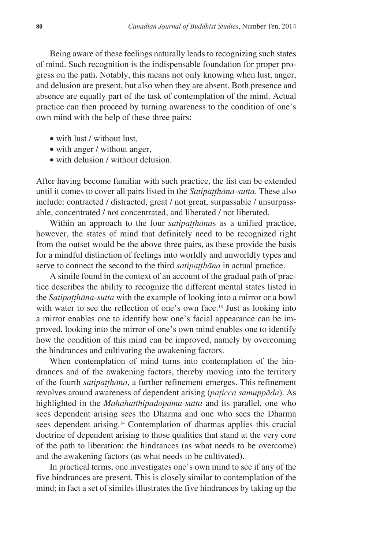Being aware of these feelings naturally leads to recognizing such states of mind. Such recognition is the indispensable foundation for proper progress on the path. Notably, this means not only knowing when lust, anger, and delusion are present, but also when they are absent. Both presence and absence are equally part of the task of contemplation of the mind. Actual practice can then proceed by turning awareness to the condition of one's own mind with the help of these three pairs:

- with lust / without lust,
- with anger / without anger,
- with delusion / without delusion.

After having become familiar with such practice, the list can be extended until it comes to cover all pairs listed in the *Satipatthana-sutta*. These also include: contracted / distracted, great / not great, surpassable / unsurpassable, concentrated / not concentrated, and liberated / not liberated.

Within an approach to the four *satipatthanas* as a unified practice, however, the states of mind that definitely need to be recognized right from the outset would be the above three pairs, as these provide the basis for a mindful distinction of feelings into worldly and unworldly types and serve to connect the second to the third *satipatthāna* in actual practice.

A simile found in the context of an account of the gradual path of practice describes the ability to recognize the different mental states listed in the *Satipatthana-sutta* with the example of looking into a mirror or a bowl with water to see the reflection of one's own face.<sup>13</sup> Just as looking into a mirror enables one to identify how one's facial appearance can be improved, looking into the mirror of one's own mind enables one to identify how the condition of this mind can be improved, namely by overcoming the hindrances and cultivating the awakening factors.

When contemplation of mind turns into contemplation of the hindrances and of the awakening factors, thereby moving into the territory of the fourth *satipatthāna*, a further refinement emerges. This refinement revolves around awareness of dependent arising (*pañicca samuppàda*). As highlighted in the *Mahàhatthipadopama-sutta* and its parallel, one who sees dependent arising sees the Dharma and one who sees the Dharma sees dependent arising.<sup>14</sup> Contemplation of dharmas applies this crucial doctrine of dependent arising to those qualities that stand at the very core of the path to liberation: the hindrances (as what needs to be overcome) and the awakening factors (as what needs to be cultivated).

In practical terms, one investigates one's own mind to see if any of the five hindrances are present. This is closely similar to contemplation of the mind; in fact a set of similes illustrates the five hindrances by taking up the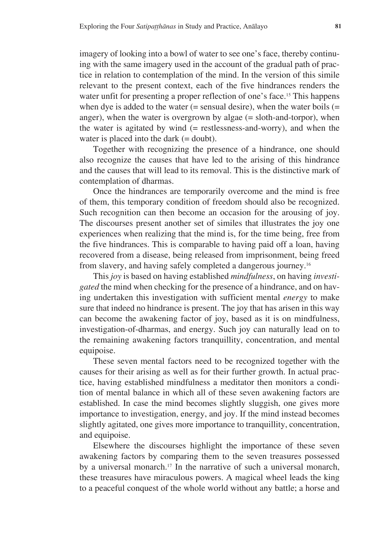imagery of looking into a bowl of water to see one's face, thereby continuing with the same imagery used in the account of the gradual path of practice in relation to contemplation of the mind. In the version of this simile relevant to the present context, each of the five hindrances renders the water unfit for presenting a proper reflection of one's face.<sup>15</sup> This happens when dye is added to the water (= sensual desire), when the water boils (= anger), when the water is overgrown by algae  $(=$  sloth-and-torpor), when the water is agitated by wind  $(=$  restlessness-and-worry), and when the water is placed into the dark (= doubt).

Together with recognizing the presence of a hindrance, one should also recognize the causes that have led to the arising of this hindrance and the causes that will lead to its removal. This is the distinctive mark of contemplation of dharmas.

Once the hindrances are temporarily overcome and the mind is free of them, this temporary condition of freedom should also be recognized. Such recognition can then become an occasion for the arousing of joy. The discourses present another set of similes that illustrates the joy one experiences when realizing that the mind is, for the time being, free from the five hindrances. This is comparable to having paid off a loan, having recovered from a disease, being released from imprisonment, being freed from slavery, and having safely completed a dangerous journey.<sup>16</sup>

This *joy* is based on having established *mindfulness*, on having *investigated* the mind when checking for the presence of a hindrance, and on having undertaken this investigation with sufficient mental *energy* to make sure that indeed no hindrance is present. The joy that has arisen in this way can become the awakening factor of joy, based as it is on mindfulness, investigation-of-dharmas, and energy. Such joy can naturally lead on to the remaining awakening factors tranquillity, concentration, and mental equipoise.

These seven mental factors need to be recognized together with the causes for their arising as well as for their further growth. In actual practice, having established mindfulness a meditator then monitors a condition of mental balance in which all of these seven awakening factors are established. In case the mind becomes slightly sluggish, one gives more importance to investigation, energy, and joy. If the mind instead becomes slightly agitated, one gives more importance to tranquillity, concentration, and equipoise.

Elsewhere the discourses highlight the importance of these seven awakening factors by comparing them to the seven treasures possessed by a universal monarch.<sup>17</sup> In the narrative of such a universal monarch, these treasures have miraculous powers. A magical wheel leads the king to a peaceful conquest of the whole world without any battle; a horse and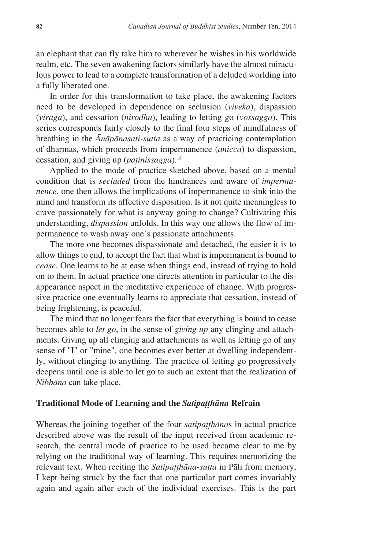an elephant that can fly take him to wherever he wishes in his worldwide realm, etc. The seven awakening factors similarly have the almost miraculous power to lead to a complete transformation of a deluded worlding into a fully liberated one.

In order for this transformation to take place, the awakening factors need to be developed in dependence on seclusion (*viveka*), dispassion (*viràga*), and cessation (*nirodha*), leading to letting go (*vossagga*). This series corresponds fairly closely to the final four steps of mindfulness of breathing in the *ânàpànasati-sutta* as a way of practicing contemplation of dharmas, which proceeds from impermanence (*anicca*) to dispassion, cessation, and giving up (*pañinissagga*).<sup>18</sup>

Applied to the mode of practice sketched above, based on a mental condition that is *secluded* from the hindrances and aware of *impermanence*, one then allows the implications of impermanence to sink into the mind and transform its affective disposition. Is it not quite meaningless to crave passionately for what is anyway going to change? Cultivating this understanding, *dispassion* unfolds. In this way one allows the flow of impermanence to wash away one's passionate attachments.

The more one becomes dispassionate and detached, the easier it is to allow things to end, to accept the fact that what is impermanent is bound to *cease*. One learns to be at ease when things end, instead of trying to hold on to them. In actual practice one directs attention in particular to the disappearance aspect in the meditative experience of change. With progressive practice one eventually learns to appreciate that cessation, instead of being frightening, is peaceful.

The mind that no longer fears the fact that everything is bound to cease becomes able to *let go*, in the sense of *giving up* any clinging and attachments. Giving up all clinging and attachments as well as letting go of any sense of "I" or "mine", one becomes ever better at dwelling independently, without clinging to anything. The practice of letting go progressively deepens until one is able to let go to such an extent that the realization of *Nibbàna* can take place.

#### **Traditional Mode of Learning and the** *Satipatthana* **Refrain**

Whereas the joining together of the four *satipatthanas* in actual practice described above was the result of the input received from academic research, the central mode of practice to be used became clear to me by relying on the traditional way of learning. This requires memorizing the relevant text. When reciting the *Satipatthāna-sutta* in Pāli from memory, I kept being struck by the fact that one particular part comes invariably again and again after each of the individual exercises. This is the part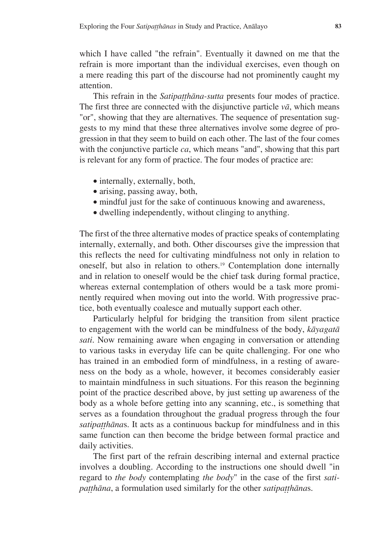which I have called "the refrain". Eventually it dawned on me that the refrain is more important than the individual exercises, even though on a mere reading this part of the discourse had not prominently caught my attention.

This refrain in the *Satipatthāna-sutta* presents four modes of practice. The first three are connected with the disjunctive particle  $v\bar{a}$ , which means "or", showing that they are alternatives. The sequence of presentation suggests to my mind that these three alternatives involve some degree of progression in that they seem to build on each other. The last of the four comes with the conjunctive particle *ca*, which means "and", showing that this part is relevant for any form of practice. The four modes of practice are:

- internally, externally, both,
- arising, passing away, both,
- mindful just for the sake of continuous knowing and awareness,
- · dwelling independently, without clinging to anything.

The first of the three alternative modes of practice speaks of contemplating internally, externally, and both. Other discourses give the impression that this reflects the need for cultivating mindfulness not only in relation to oneself, but also in relation to others.<sup>19</sup> Contemplation done internally and in relation to oneself would be the chief task during formal practice, whereas external contemplation of others would be a task more prominently required when moving out into the world. With progressive practice, both eventually coalesce and mutually support each other.

Particularly helpful for bridging the transition from silent practice to engagement with the world can be mindfulness of the body, *kàyagatà sati*. Now remaining aware when engaging in conversation or attending to various tasks in everyday life can be quite challenging. For one who has trained in an embodied form of mindfulness, in a resting of awareness on the body as a whole, however, it becomes considerably easier to maintain mindfulness in such situations. For this reason the beginning point of the practice described above, by just setting up awareness of the body as a whole before getting into any scanning, etc., is something that serves as a foundation throughout the gradual progress through the four satipatthānas. It acts as a continuous backup for mindfulness and in this same function can then become the bridge between formal practice and daily activities.

The first part of the refrain describing internal and external practice involves a doubling. According to the instructions one should dwell "in regard to *the body* contemplating *the body*" in the case of the first *satipatthāna*, a formulation used similarly for the other *satipatthānas*.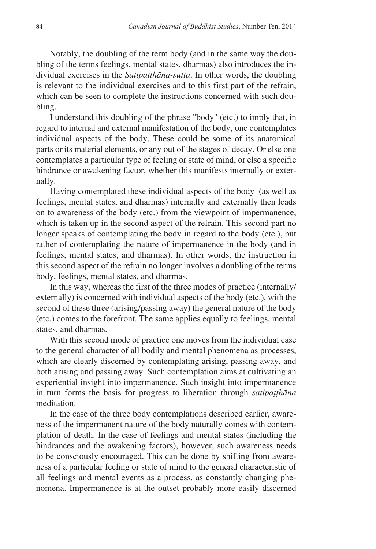Notably, the doubling of the term body (and in the same way the doubling of the terms feelings, mental states, dharmas) also introduces the individual exercises in the *Satipatthāna-sutta*. In other words, the doubling is relevant to the individual exercises and to this first part of the refrain, which can be seen to complete the instructions concerned with such doubling.

I understand this doubling of the phrase "body" (etc.) to imply that, in regard to internal and external manifestation of the body, one contemplates individual aspects of the body. These could be some of its anatomical parts or its material elements, or any out of the stages of decay. Or else one contemplates a particular type of feeling or state of mind, or else a specific hindrance or awakening factor, whether this manifests internally or externally.

Having contemplated these individual aspects of the body (as well as feelings, mental states, and dharmas) internally and externally then leads on to awareness of the body (etc.) from the viewpoint of impermanence, which is taken up in the second aspect of the refrain. This second part no longer speaks of contemplating the body in regard to the body (etc.), but rather of contemplating the nature of impermanence in the body (and in feelings, mental states, and dharmas). In other words, the instruction in this second aspect of the refrain no longer involves a doubling of the terms body, feelings, mental states, and dharmas.

In this way, whereas the first of the three modes of practice (internally/ externally) is concerned with individual aspects of the body (etc.), with the second of these three (arising/passing away) the general nature of the body (etc.) comes to the forefront. The same applies equally to feelings, mental states, and dharmas.

With this second mode of practice one moves from the individual case to the general character of all bodily and mental phenomena as processes, which are clearly discerned by contemplating arising, passing away, and both arising and passing away. Such contemplation aims at cultivating an experiential insight into impermanence. Such insight into impermanence in turn forms the basis for progress to liberation through *satipatthana* meditation.

In the case of the three body contemplations described earlier, awareness of the impermanent nature of the body naturally comes with contemplation of death. In the case of feelings and mental states (including the hindrances and the awakening factors), however, such awareness needs to be consciously encouraged. This can be done by shifting from awareness of a particular feeling or state of mind to the general characteristic of all feelings and mental events as a process, as constantly changing phenomena. Impermanence is at the outset probably more easily discerned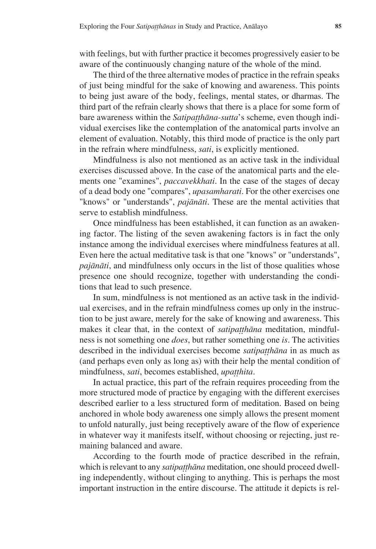with feelings, but with further practice it becomes progressively easier to be aware of the continuously changing nature of the whole of the mind.

The third of the three alternative modes of practice in the refrain speaks of just being mindful for the sake of knowing and awareness. This points to being just aware of the body, feelings, mental states, or dharmas. The third part of the refrain clearly shows that there is a place for some form of bare awareness within the *Satipatthāna-sutta*'s scheme, even though individual exercises like the contemplation of the anatomical parts involve an element of evaluation. Notably, this third mode of practice is the only part in the refrain where mindfulness, *sati*, is explicitly mentioned.

Mindfulness is also not mentioned as an active task in the individual exercises discussed above. In the case of the anatomical parts and the elements one "examines", *paccavekkhati*. In the case of the stages of decay of a dead body one "compares", *upasamharati*. For the other exercises one "knows" or "understands", *pajànàti*. These are the mental activities that serve to establish mindfulness.

Once mindfulness has been established, it can function as an awakening factor. The listing of the seven awakening factors is in fact the only instance among the individual exercises where mindfulness features at all. Even here the actual meditative task is that one "knows" or "understands", *pajànàti*, and mindfulness only occurs in the list of those qualities whose presence one should recognize, together with understanding the conditions that lead to such presence.

In sum, mindfulness is not mentioned as an active task in the individual exercises, and in the refrain mindfulness comes up only in the instruction to be just aware, merely for the sake of knowing and awareness. This makes it clear that, in the context of *satipatthana* meditation, mindfulness is not something one *does*, but rather something one *is*. The activities described in the individual exercises become *satipatthana* in as much as (and perhaps even only as long as) with their help the mental condition of mindfulness, *sati*, becomes established, *upatthita*.

In actual practice, this part of the refrain requires proceeding from the more structured mode of practice by engaging with the different exercises described earlier to a less structured form of meditation. Based on being anchored in whole body awareness one simply allows the present moment to unfold naturally, just being receptively aware of the flow of experience in whatever way it manifests itself, without choosing or rejecting, just remaining balanced and aware.

According to the fourth mode of practice described in the refrain, which is relevant to any *satipatthāna* meditation, one should proceed dwelling independently, without clinging to anything. This is perhaps the most important instruction in the entire discourse. The attitude it depicts is rel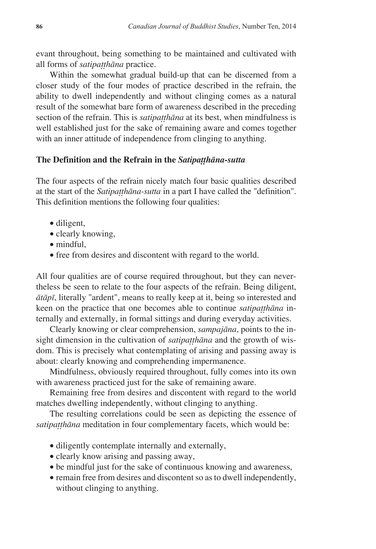evant throughout, being something to be maintained and cultivated with all forms of *satipatthāna* practice.

Within the somewhat gradual build-up that can be discerned from a closer study of the four modes of practice described in the refrain, the ability to dwell independently and without clinging comes as a natural result of the somewhat bare form of awareness described in the preceding section of the refrain. This is *satipatthana* at its best, when mindfulness is well established just for the sake of remaining aware and comes together with an inner attitude of independence from clinging to anything.

#### The Definition and the Refrain in the *Satipatthana-sutta*

The four aspects of the refrain nicely match four basic qualities described at the start of the *Satipatthana-sutta* in a part I have called the "definition". This definition mentions the following four qualities:

- diligent,
- clearly knowing,
- mindful.
- · free from desires and discontent with regard to the world.

All four qualities are of course required throughout, but they can nevertheless be seen to relate to the four aspects of the refrain. Being diligent, *àtàpã*, literally "ardent", means to really keep at it, being so interested and keen on the practice that one becomes able to continue *satipatthana* internally and externally, in formal sittings and during everyday activities.

Clearly knowing or clear comprehension, *sampajàna*, points to the insight dimension in the cultivation of *satipatthana* and the growth of wisdom. This is precisely what contemplating of arising and passing away is about: clearly knowing and comprehending impermanence.

Mindfulness, obviously required throughout, fully comes into its own with awareness practiced just for the sake of remaining aware.

Remaining free from desires and discontent with regard to the world matches dwelling independently, without clinging to anything.

The resulting correlations could be seen as depicting the essence of satipatthāna meditation in four complementary facets, which would be:

- · diligently contemplate internally and externally,
- · clearly know arising and passing away,
- · be mindful just for the sake of continuous knowing and awareness,
- · remain free from desires and discontent so as to dwell independently, without clinging to anything.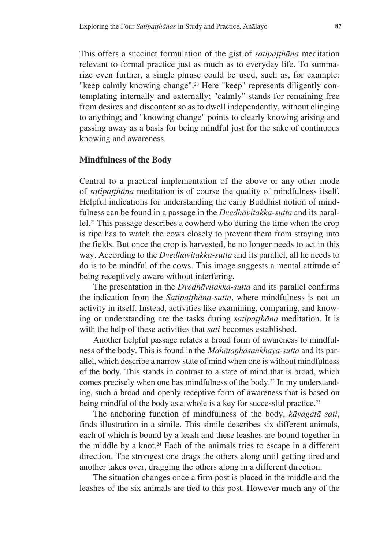This offers a succinct formulation of the gist of *satipatthāna* meditation relevant to formal practice just as much as to everyday life. To summarize even further, a single phrase could be used, such as, for example: "keep calmly knowing change".<sup>20</sup> Here "keep" represents diligently contemplating internally and externally; "calmly" stands for remaining free from desires and discontent so as to dwell independently, without clinging to anything; and "knowing change" points to clearly knowing arising and passing away as a basis for being mindful just for the sake of continuous knowing and awareness.

#### **Mindfulness of the Body**

Central to a practical implementation of the above or any other mode of *satipatthāna* meditation is of course the quality of mindfulness itself. Helpful indications for understanding the early Buddhist notion of mindfulness can be found in a passage in the *Dvedhàvitakka-sutta* and its parallel.21 This passage describes a cowherd who during the time when the crop is ripe has to watch the cows closely to prevent them from straying into the fields. But once the crop is harvested, he no longer needs to act in this way. According to the *Dvedhàvitakka-sutta* and its parallel, all he needs to do is to be mindful of the cows. This image suggests a mental attitude of being receptively aware without interfering.

The presentation in the *Dvedhàvitakka-sutta* and its parallel confirms the indication from the *Satipatthana-sutta*, where mindfulness is not an activity in itself. Instead, activities like examining, comparing, and knowing or understanding are the tasks during *satipatthana* meditation. It is with the help of these activities that *sati* becomes established.

Another helpful passage relates a broad form of awareness to mindfulness of the body. This is found in the *Mahātaṇhāsankhaya-sutta* and its parallel, which describe a narrow state of mind when one is without mindfulness of the body. This stands in contrast to a state of mind that is broad, which comes precisely when one has mindfulness of the body.<sup>22</sup> In my understanding, such a broad and openly receptive form of awareness that is based on being mindful of the body as a whole is a key for successful practice.<sup>23</sup>

The anchoring function of mindfulness of the body, *kàyagatà sati*, finds illustration in a simile. This simile describes six different animals, each of which is bound by a leash and these leashes are bound together in the middle by a knot.<sup>24</sup> Each of the animals tries to escape in a different direction. The strongest one drags the others along until getting tired and another takes over, dragging the others along in a different direction.

The situation changes once a firm post is placed in the middle and the leashes of the six animals are tied to this post. However much any of the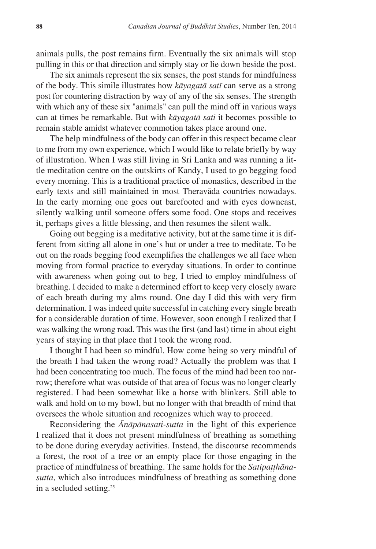animals pulls, the post remains firm. Eventually the six animals will stop pulling in this or that direction and simply stay or lie down beside the post.

The six animals represent the six senses, the post stands for mindfulness of the body. This simile illustrates how *kàyagatà satã* can serve as a strong post for countering distraction by way of any of the six senses. The strength with which any of these six "animals" can pull the mind off in various ways can at times be remarkable. But with *kàyagatà sati* it becomes possible to remain stable amidst whatever commotion takes place around one.

The help mindfulness of the body can offer in this respect became clear to me from my own experience, which I would like to relate briefly by way of illustration. When I was still living in Sri Lanka and was running a little meditation centre on the outskirts of Kandy, I used to go begging food every morning. This is a traditional practice of monastics, described in the early texts and still maintained in most Theravàda countries nowadays. In the early morning one goes out barefooted and with eyes downcast, silently walking until someone offers some food. One stops and receives it, perhaps gives a little blessing, and then resumes the silent walk.

Going out begging is a meditative activity, but at the same time it is different from sitting all alone in one's hut or under a tree to meditate. To be out on the roads begging food exemplifies the challenges we all face when moving from formal practice to everyday situations. In order to continue with awareness when going out to beg, I tried to employ mindfulness of breathing. I decided to make a determined effort to keep very closely aware of each breath during my alms round. One day I did this with very firm determination. I was indeed quite successful in catching every single breath for a considerable duration of time. However, soon enough I realized that I was walking the wrong road. This was the first (and last) time in about eight years of staying in that place that I took the wrong road.

I thought I had been so mindful. How come being so very mindful of the breath I had taken the wrong road? Actually the problem was that I had been concentrating too much. The focus of the mind had been too narrow; therefore what was outside of that area of focus was no longer clearly registered. I had been somewhat like a horse with blinkers. Still able to walk and hold on to my bowl, but no longer with that breadth of mind that oversees the whole situation and recognizes which way to proceed.

Reconsidering the *ânàpànasati-sutta* in the light of this experience I realized that it does not present mindfulness of breathing as something to be done during everyday activities. Instead, the discourse recommends a forest, the root of a tree or an empty place for those engaging in the practice of mindfulness of breathing. The same holds for the *Satipatthanasutta*, which also introduces mindfulness of breathing as something done in a secluded setting.25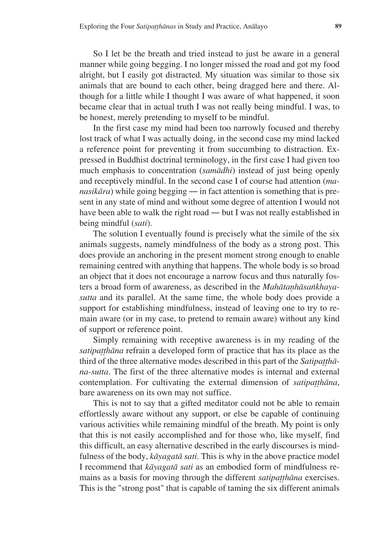So I let be the breath and tried instead to just be aware in a general manner while going begging. I no longer missed the road and got my food alright, but I easily got distracted. My situation was similar to those six animals that are bound to each other, being dragged here and there. Although for a little while I thought I was aware of what happened, it soon became clear that in actual truth I was not really being mindful. I was, to be honest, merely pretending to myself to be mindful.

In the first case my mind had been too narrowly focused and thereby lost track of what I was actually doing, in the second case my mind lacked a reference point for preventing it from succumbing to distraction. Expressed in Buddhist doctrinal terminology, in the first case I had given too much emphasis to concentration (*samàdhi*) instead of just being openly and receptively mindful. In the second case I of course had attention (*manasikàra*) while going begging ― in fact attention is something that is present in any state of mind and without some degree of attention I would not have been able to walk the right road — but I was not really established in being mindful (*sati*).

The solution I eventually found is precisely what the simile of the six animals suggests, namely mindfulness of the body as a strong post. This does provide an anchoring in the present moment strong enough to enable remaining centred with anything that happens. The whole body is so broad an object that it does not encourage a narrow focus and thus naturally fosters a broad form of awareness, as described in the *Mahātanhāsankhayasutta* and its parallel. At the same time, the whole body does provide a support for establishing mindfulness, instead of leaving one to try to remain aware (or in my case, to pretend to remain aware) without any kind of support or reference point.

Simply remaining with receptive awareness is in my reading of the *satipatthāna* refrain a developed form of practice that has its place as the third of the three alternative modes described in this part of the *Satipatthana-sutta*. The first of the three alternative modes is internal and external contemplation. For cultivating the external dimension of *satipatthāna*, bare awareness on its own may not suffice.

This is not to say that a gifted meditator could not be able to remain effortlessly aware without any support, or else be capable of continuing various activities while remaining mindful of the breath. My point is only that this is not easily accomplished and for those who, like myself, find this difficult, an easy alternative described in the early discourses is mindfulness of the body, *kàyagatà sati*. This is why in the above practice model I recommend that *kàyagatà sati* as an embodied form of mindfulness remains as a basis for moving through the different *satipatthana* exercises. This is the "strong post" that is capable of taming the six different animals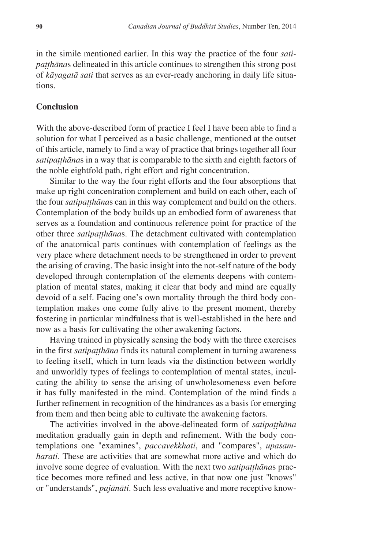in the simile mentioned earlier. In this way the practice of the four *satipaṭṭhānas* delineated in this article continues to strengthen this strong post of *kàyagatà sati* that serves as an ever-ready anchoring in daily life situations.

#### **Conclusion**

With the above-described form of practice I feel I have been able to find a solution for what I perceived as a basic challenge, mentioned at the outset of this article, namely to find a way of practice that brings together all four *satipatthānas* in a way that is comparable to the sixth and eighth factors of the noble eightfold path, right effort and right concentration.

Similar to the way the four right efforts and the four absorptions that make up right concentration complement and build on each other, each of the four *satipatthanas* can in this way complement and build on the others. Contemplation of the body builds up an embodied form of awareness that serves as a foundation and continuous reference point for practice of the other three *satipaṭṭhānas*. The detachment cultivated with contemplation of the anatomical parts continues with contemplation of feelings as the very place where detachment needs to be strengthened in order to prevent the arising of craving. The basic insight into the not-self nature of the body developed through contemplation of the elements deepens with contemplation of mental states, making it clear that body and mind are equally devoid of a self. Facing one's own mortality through the third body contemplation makes one come fully alive to the present moment, thereby fostering in particular mindfulness that is well-established in the here and now as a basis for cultivating the other awakening factors.

Having trained in physically sensing the body with the three exercises in the first *satipaṭṭhāna* finds its natural complement in turning awareness to feeling itself, which in turn leads via the distinction between worldly and unworldly types of feelings to contemplation of mental states, inculcating the ability to sense the arising of unwholesomeness even before it has fully manifested in the mind. Contemplation of the mind finds a further refinement in recognition of the hindrances as a basis for emerging from them and then being able to cultivate the awakening factors.

The activities involved in the above-delineated form of *satipatthana* meditation gradually gain in depth and refinement. With the body contemplations one "examines", *paccavekkhati*, and "compares", *upasamharati*. These are activities that are somewhat more active and which do involve some degree of evaluation. With the next two *satipatthānas* practice becomes more refined and less active, in that now one just "knows" or "understands", *pajànàti*. Such less evaluative and more receptive know-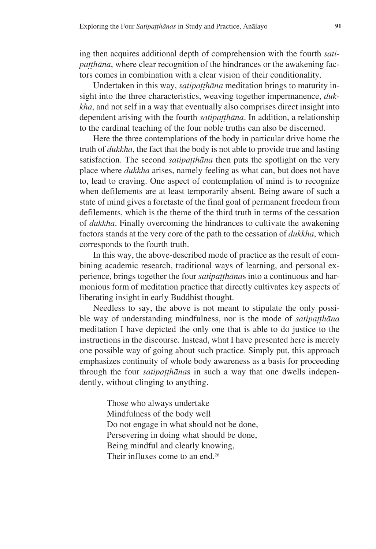ing then acquires additional depth of comprehension with the fourth *satipaṭṭhāna*, where clear recognition of the hindrances or the awakening factors comes in combination with a clear vision of their conditionality.

Undertaken in this way, *satipatthāna* meditation brings to maturity insight into the three characteristics, weaving together impermanence, *dukkha*, and not self in a way that eventually also comprises direct insight into dependent arising with the fourth *satipatthana*. In addition, a relationship to the cardinal teaching of the four noble truths can also be discerned.

Here the three contemplations of the body in particular drive home the truth of *dukkha*, the fact that the body is not able to provide true and lasting satisfaction. The second *satipaṭṭhāna* then puts the spotlight on the very place where *dukkha* arises, namely feeling as what can, but does not have to, lead to craving. One aspect of contemplation of mind is to recognize when defilements are at least temporarily absent. Being aware of such a state of mind gives a foretaste of the final goal of permanent freedom from defilements, which is the theme of the third truth in terms of the cessation of *dukkha*. Finally overcoming the hindrances to cultivate the awakening factors stands at the very core of the path to the cessation of *dukkha*, which corresponds to the fourth truth.

In this way, the above-described mode of practice as the result of combining academic research, traditional ways of learning, and personal experience, brings together the four *satipatthānas* into a continuous and harmonious form of meditation practice that directly cultivates key aspects of liberating insight in early Buddhist thought.

Needless to say, the above is not meant to stipulate the only possible way of understanding mindfulness, nor is the mode of *satipatthana* meditation I have depicted the only one that is able to do justice to the instructions in the discourse. Instead, what I have presented here is merely one possible way of going about such practice. Simply put, this approach emphasizes continuity of whole body awareness as a basis for proceeding through the four *satipatthanas* in such a way that one dwells independently, without clinging to anything.

> Those who always undertake Mindfulness of the body well Do not engage in what should not be done, Persevering in doing what should be done, Being mindful and clearly knowing, Their influxes come to an end.<sup>26</sup>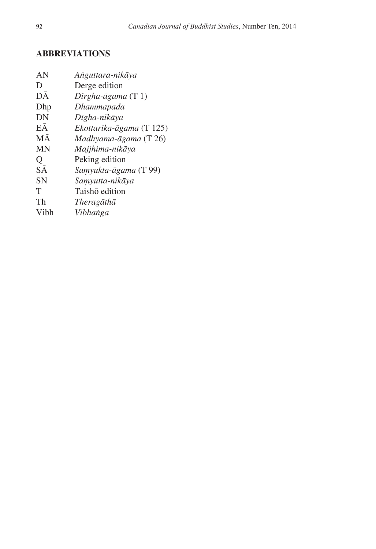### **Abbreviations**

| AN        | Anguttara-nikāya         |
|-----------|--------------------------|
| D         | Derge edition            |
| DĀ        | Dirgha-āgama $(T 1)$     |
| Dhp       | Dhammapada               |
| DN        | Dīgha-nikāya             |
| EĀ        | Ekottarika-āgama (T 125) |
| <b>MA</b> | $Madhyama-āgama (T 26)$  |
| <b>MN</b> | Majjhima-nikāya          |
| Q         | Peking edition           |
| SĀ        | Samyukta-āgama (T 99)    |
| <b>SN</b> | Samyutta-nikāya          |
| T         | Taishō edition           |
| Th        | Theragāthā               |
| Vibh      | Vibhanga                 |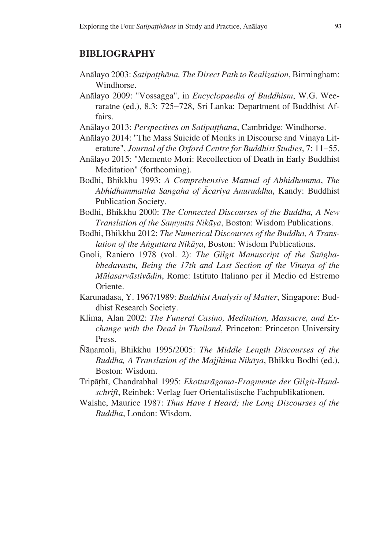#### **Bibliography**

- Anālayo 2003: Satipatthāna, The Direct Path to Realization, Birmingham: Windhorse.
- Anàlayo 2009: "Vossagga", in *Encyclopaedia of Buddhism*, W.G. Weeraratne (ed.), 8.3: 725–728, Sri Lanka: Department of Buddhist Affairs.
- Anālayo 2013: Perspectives on Satipatthāna, Cambridge: Windhorse.
- Anàlayo 2014: "The Mass Suicide of Monks in Discourse and Vinaya Literature", Journal of the Oxford Centre for Buddhist Studies, 7: 11-55.
- Anàlayo 2015: "Memento Mori: Recollection of Death in Early Buddhist Meditation" (forthcoming).
- Bodhi, Bhikkhu 1993: *A Comprehensive Manual of Abhidhamma*, *The Abhidhammattha Sangaha of âcariya Anuruddha*, Kandy: Buddhist Publication Society.
- Bodhi, Bhikkhu 2000: *The Connected Discourses of the Buddha, A New Translation of the Samyutta Nikāya*, Boston: Wisdom Publications.
- Bodhi, Bhikkhu 2012: *The Numerical Discourses of the Buddha, A Translation of the Aïguttara Nikàya*, Boston: Wisdom Publications.
- Gnoli, Raniero 1978 (vol. 2): The Gilgit Manuscript of the Sangha*bhedavastu, Being the 17th and Last Section of the Vinaya of the Målasarvàstivàdin*, Rome: Istituto Italiano per il Medio ed Estremo Oriente.
- Karunadasa, Y. 1967/1989: *Buddhist Analysis of Matter*, Singapore: Buddhist Research Society.
- Klima, Alan 2002: *The Funeral Casino, Meditation, Massacre, and Exchange with the Dead in Thailand*, Princeton: Princeton University Press.
- ¥àõamoli, Bhikkhu 1995/2005: *The Middle Length Discourses of the Buddha, A Translation of the Majjhima Nikàya*, Bhikku Bodhi (ed.), Boston: Wisdom.
- Tripàñhã, Chandrabhal 1995: *Ekottaràgama-Fragmente der Gilgit-Handschrift*, Reinbek: Verlag fuer Orientalistische Fachpublikationen.
- Walshe, Maurice 1987: *Thus Have I Heard; the Long Discourses of the Buddha*, London: Wisdom.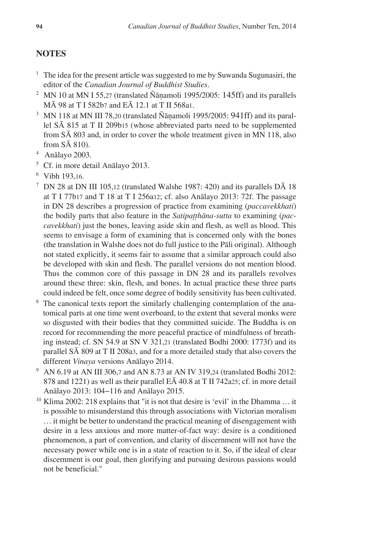#### **NOTES**

- <sup>1</sup> The idea for the present article was suggested to me by Suwanda Sugunasiri, the editor of the *Canadian Journal of Buddhist Studies*.
- <sup>2</sup> MN 10 at MN I 55,27 (translated  $\tilde{N}$ ānamoli 1995/2005: 145ff) and its parallels MĀ 98 at T I 582b7 and EĀ 12.1 at T II 568a1.
- $3$  MN 118 at MN III 78,20 (translated  $\tilde{N}$ ānamoli 1995/2005: 941ff) and its parallel SĀ 815 at T II 209b15 (whose abbreviated parts need to be supplemented from SĀ 803 and, in order to cover the whole treatment given in MN 118, also from SĀ 810).
- 4 Anàlayo 2003.
- $5$  Cf. in more detail Anālayo 2013.
- $6$  Vibh 193,16.
- <sup>7</sup> DN 28 at DN III 105,12 (translated Walshe 1987: 420) and its parallels D $\bar{A}$  18 at T I 77b17 and T 18 at T I 256a12; cf. also Anàlayo 2013: 72f. The passage in DN 28 describes a progression of practice from examining (*paccavekkhati*) the bodily parts that also feature in the *Satipatthana-sutta* to examining (*paccavekkhati*) just the bones, leaving aside skin and flesh, as well as blood. This seems to envisage a form of examining that is concerned only with the bones (the translation in Walshe does not do full justice to the Pàli original). Although not stated explicitly, it seems fair to assume that a similar approach could also be developed with skin and flesh. The parallel versions do not mention blood. Thus the common core of this passage in DN 28 and its parallels revolves around these three: skin, flesh, and bones. In actual practice these three parts could indeed be felt, once some degree of bodily sensitivity has been cultivated.
- <sup>8</sup> The canonical texts report the similarly challenging contemplation of the anatomical parts at one time went overboard, to the extent that several monks were so disgusted with their bodies that they committed suicide. The Buddha is on record for recommending the more peaceful practice of mindfulness of breathing instead; cf. SN 54.9 at SN V 321,21 (translated Bodhi 2000: 1773f) and its parallel SĀ 809 at T II 208a3, and for a more detailed study that also covers the different *Vinaya* versions Anàlayo 2014.
- <sup>9</sup> AN 6.19 at AN III 306,7 and AN 8.73 at AN IV 319,24 (translated Bodhi 2012: 878 and 1221) as well as their parallel EĀ 40.8 at T II 742a25; cf. in more detail Anālayo 2013: 104-116 and Anālayo 2015.
- <sup>10</sup> Klima 2002: 218 explains that "it is not that desire is 'evil' in the Dhamma ... it is possible to misunderstand this through associations with Victorian moralism ... it might be better to understand the practical meaning of disengagement with desire in a less anxious and more matter-of-fact way: desire is a conditioned phenomenon, a part of convention, and clarity of discernment will not have the necessary power while one is in a state of reaction to it. So, if the ideal of clear discernment is our goal, then glorifying and pursuing desirous passions would not be beneficial."